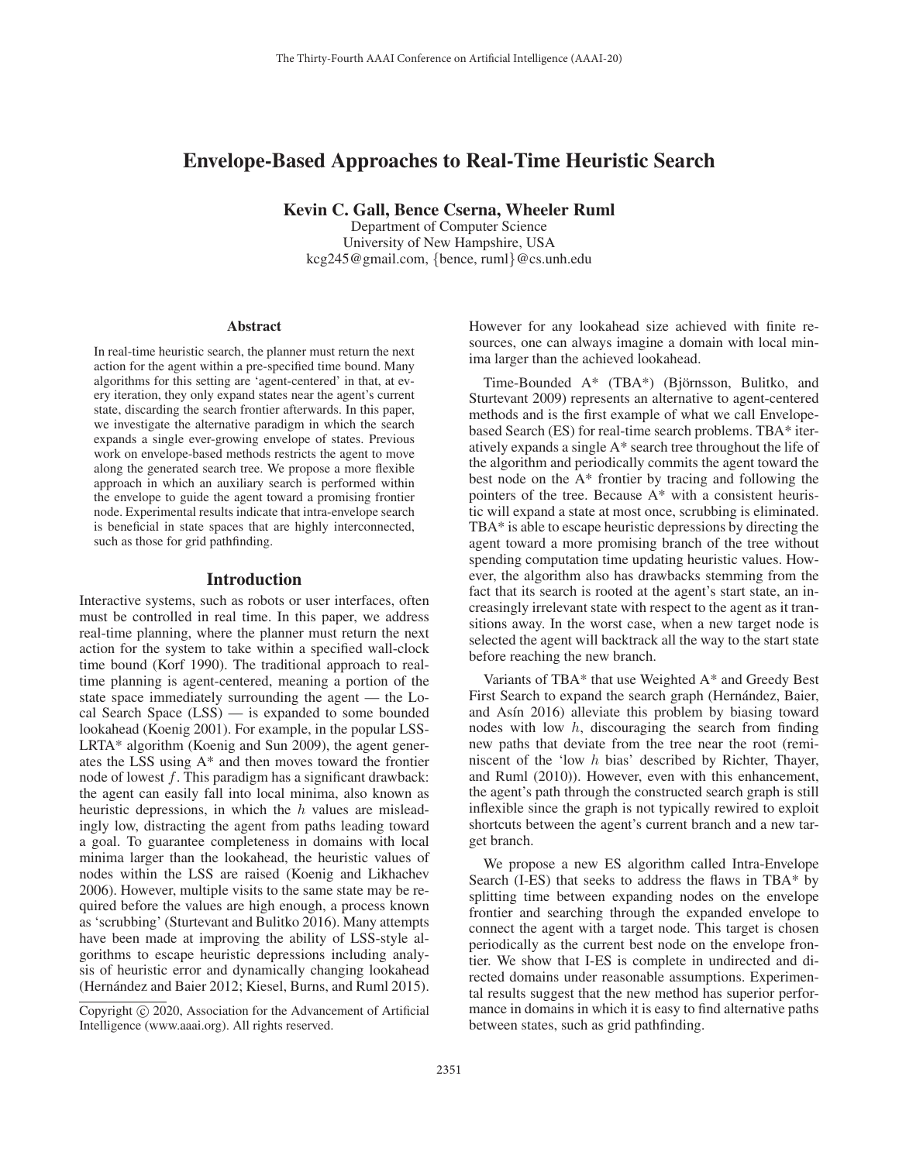# Envelope-Based Approaches to Real-Time Heuristic Search

Kevin C. Gall, Bence Cserna, Wheeler Ruml

Department of Computer Science University of New Hampshire, USA kcg245@gmail.com, {bence, ruml}@cs.unh.edu

#### **Abstract**

In real-time heuristic search, the planner must return the next action for the agent within a pre-specified time bound. Many algorithms for this setting are 'agent-centered' in that, at every iteration, they only expand states near the agent's current state, discarding the search frontier afterwards. In this paper, we investigate the alternative paradigm in which the search expands a single ever-growing envelope of states. Previous work on envelope-based methods restricts the agent to move along the generated search tree. We propose a more flexible approach in which an auxiliary search is performed within the envelope to guide the agent toward a promising frontier node. Experimental results indicate that intra-envelope search is beneficial in state spaces that are highly interconnected, such as those for grid pathfinding.

#### Introduction

Interactive systems, such as robots or user interfaces, often must be controlled in real time. In this paper, we address real-time planning, where the planner must return the next action for the system to take within a specified wall-clock time bound (Korf 1990). The traditional approach to realtime planning is agent-centered, meaning a portion of the state space immediately surrounding the agent — the Local Search Space (LSS) — is expanded to some bounded lookahead (Koenig 2001). For example, in the popular LSS-LRTA\* algorithm (Koenig and Sun 2009), the agent generates the LSS using A\* and then moves toward the frontier node of lowest f. This paradigm has a significant drawback: the agent can easily fall into local minima, also known as heuristic depressions, in which the  $h$  values are misleadingly low, distracting the agent from paths leading toward a goal. To guarantee completeness in domains with local minima larger than the lookahead, the heuristic values of nodes within the LSS are raised (Koenig and Likhachev 2006). However, multiple visits to the same state may be required before the values are high enough, a process known as 'scrubbing' (Sturtevant and Bulitko 2016). Many attempts have been made at improving the ability of LSS-style algorithms to escape heuristic depressions including analysis of heuristic error and dynamically changing lookahead (Hernández and Baier 2012; Kiesel, Burns, and Ruml 2015).

However for any lookahead size achieved with finite resources, one can always imagine a domain with local minima larger than the achieved lookahead.

Time-Bounded  $A^*$  (TBA\*) (Björnsson, Bulitko, and Sturtevant 2009) represents an alternative to agent-centered methods and is the first example of what we call Envelopebased Search (ES) for real-time search problems. TBA\* iteratively expands a single A\* search tree throughout the life of the algorithm and periodically commits the agent toward the best node on the A\* frontier by tracing and following the pointers of the tree. Because A\* with a consistent heuristic will expand a state at most once, scrubbing is eliminated. TBA\* is able to escape heuristic depressions by directing the agent toward a more promising branch of the tree without spending computation time updating heuristic values. However, the algorithm also has drawbacks stemming from the fact that its search is rooted at the agent's start state, an increasingly irrelevant state with respect to the agent as it transitions away. In the worst case, when a new target node is selected the agent will backtrack all the way to the start state before reaching the new branch.

Variants of TBA\* that use Weighted A\* and Greedy Best First Search to expand the search graph (Hernández, Baier, and Asin 2016) alleviate this problem by biasing toward nodes with low  $h$ , discouraging the search from finding new paths that deviate from the tree near the root (reminiscent of the 'low h bias' described by Richter, Thayer, and Ruml (2010)). However, even with this enhancement, the agent's path through the constructed search graph is still inflexible since the graph is not typically rewired to exploit shortcuts between the agent's current branch and a new target branch.

We propose a new ES algorithm called Intra-Envelope Search (I-ES) that seeks to address the flaws in TBA\* by splitting time between expanding nodes on the envelope frontier and searching through the expanded envelope to connect the agent with a target node. This target is chosen periodically as the current best node on the envelope frontier. We show that I-ES is complete in undirected and directed domains under reasonable assumptions. Experimental results suggest that the new method has superior performance in domains in which it is easy to find alternative paths between states, such as grid pathfinding.

Copyright  $\odot$  2020, Association for the Advancement of Artificial Intelligence (www.aaai.org). All rights reserved.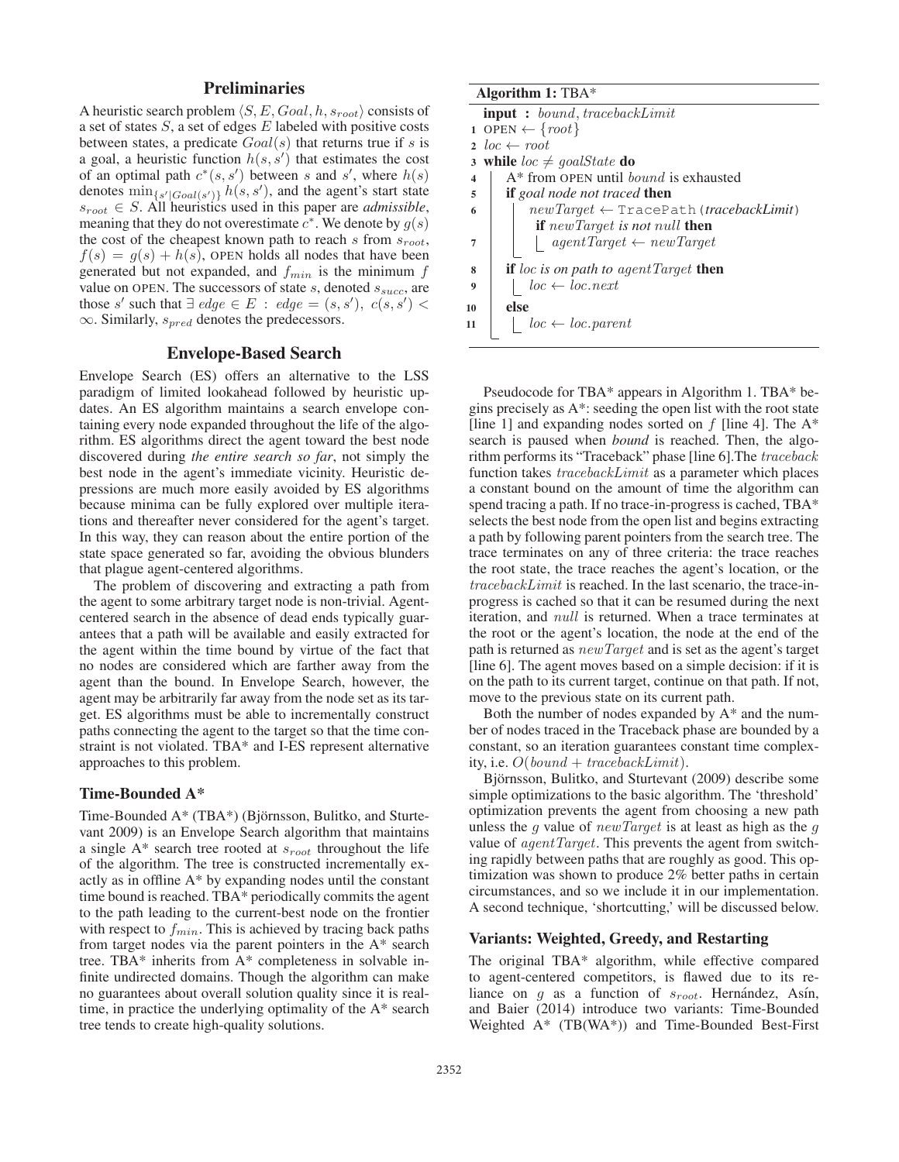## Preliminaries

A heuristic search problem  $\langle S, E, Goal, h, s_{root} \rangle$  consists of a set of states  $S$ , a set of edges  $E$  labeled with positive costs between states, a predicate  $Goal(s)$  that returns true if s is a goal, a heuristic function  $h(s, s')$  that estimates the cost of an optimal path  $c^*(s, s')$  between s and s', where  $h(s)$ denotes  $\min_{\{s' | Goal(s')\}} h(s, s')$ , and the agent's start state  $s_{root} \in S$ . All heuristics used in this paper are *admissible*, meaning that they do not overestimate  $c^*$ . We denote by  $g(s)$ the cost of the cheapest known path to reach  $s$  from  $s_{root}$ ,  $f(s) = g(s) + h(s)$ , OPEN holds all nodes that have been generated but not expanded, and  $f_{min}$  is the minimum  $f$ value on OPEN. The successors of state  $s$ , denoted  $s_{succ}$ , are those s' such that  $\exists$  *edge*  $\in$  E : *edge* =  $(s, s')$ ,  $c(s, s')$  <  $\infty$ . Similarly,  $s_{pred}$  denotes the predecessors.

## Envelope-Based Search

Envelope Search (ES) offers an alternative to the LSS paradigm of limited lookahead followed by heuristic updates. An ES algorithm maintains a search envelope containing every node expanded throughout the life of the algorithm. ES algorithms direct the agent toward the best node discovered during *the entire search so far*, not simply the best node in the agent's immediate vicinity. Heuristic depressions are much more easily avoided by ES algorithms because minima can be fully explored over multiple iterations and thereafter never considered for the agent's target. In this way, they can reason about the entire portion of the state space generated so far, avoiding the obvious blunders that plague agent-centered algorithms.

The problem of discovering and extracting a path from the agent to some arbitrary target node is non-trivial. Agentcentered search in the absence of dead ends typically guarantees that a path will be available and easily extracted for the agent within the time bound by virtue of the fact that no nodes are considered which are farther away from the agent than the bound. In Envelope Search, however, the agent may be arbitrarily far away from the node set as its target. ES algorithms must be able to incrementally construct paths connecting the agent to the target so that the time constraint is not violated. TBA\* and I-ES represent alternative approaches to this problem.

#### Time-Bounded A\*

Time-Bounded  $A^*$  (TBA\*) (Björnsson, Bulitko, and Sturtevant 2009) is an Envelope Search algorithm that maintains a single  $A^*$  search tree rooted at  $s_{root}$  throughout the life of the algorithm. The tree is constructed incrementally exactly as in offline A\* by expanding nodes until the constant time bound is reached. TBA\* periodically commits the agent to the path leading to the current-best node on the frontier with respect to  $f_{min}$ . This is achieved by tracing back paths from target nodes via the parent pointers in the A\* search tree. TBA\* inherits from A\* completeness in solvable infinite undirected domains. Though the algorithm can make no guarantees about overall solution quality since it is realtime, in practice the underlying optimality of the A\* search tree tends to create high-quality solutions.

| Algorithm 1: $TBA*$ |  |  |                                      |
|---------------------|--|--|--------------------------------------|
|                     |  |  | <b>input</b> : bound, tracebackLimit |
|                     |  |  | 1 OPEN $\leftarrow \{root\}$         |

2 *loc*  $\leftarrow$  *root* 

3 while  $loc \neq goalState$  do

- <sup>4</sup> A\* from OPEN until *bound* is exhausted
- <sup>5</sup> if *goal node not traced* then 6  $\vert$  *newTarget*  $\leftarrow$  TracePath(*tracebackLimit*)
- if *newTarget is not* null then <sup>7</sup> *agentTarget* ← *newTarget* <sup>8</sup> if *loc is on path to agentTarget* then <sup>9</sup> *loc* ← *loc*.*next* 10 else 11 *loc*  $\leftarrow$  *loc*. parent

Pseudocode for TBA\* appears in Algorithm 1. TBA\* begins precisely as  $A^*$ : seeding the open list with the root state [line 1] and expanding nodes sorted on  $f$  [line 4]. The  $A^*$ search is paused when *bound* is reached. Then, the algorithm performs its "Traceback" phase [line 6].The *traceback* function takes *tracebackLimit* as a parameter which places a constant bound on the amount of time the algorithm can spend tracing a path. If no trace-in-progress is cached, TBA\* selects the best node from the open list and begins extracting a path by following parent pointers from the search tree. The trace terminates on any of three criteria: the trace reaches the root state, the trace reaches the agent's location, or the *tracebackLimit* is reached. In the last scenario, the trace-inprogress is cached so that it can be resumed during the next iteration, and *null* is returned. When a trace terminates at the root or the agent's location, the node at the end of the path is returned as *newTarget* and is set as the agent's target [line 6]. The agent moves based on a simple decision: if it is on the path to its current target, continue on that path. If not, move to the previous state on its current path.

Both the number of nodes expanded by  $A^*$  and the number of nodes traced in the Traceback phase are bounded by a constant, so an iteration guarantees constant time complexity, i.e. O(*bound* + *tracebackLimit*).

Björnsson, Bulitko, and Sturtevant (2009) describe some simple optimizations to the basic algorithm. The 'threshold' optimization prevents the agent from choosing a new path unless the g value of *newTarget* is at least as high as the g value of *agentTarget*. This prevents the agent from switching rapidly between paths that are roughly as good. This optimization was shown to produce 2% better paths in certain circumstances, and so we include it in our implementation. A second technique, 'shortcutting,' will be discussed below.

#### Variants: Weighted, Greedy, and Restarting

The original TBA\* algorithm, while effective compared to agent-centered competitors, is flawed due to its reliance on  $g$  as a function of  $s_{root}$ . Hernandez, Asin, and Baier (2014) introduce two variants: Time-Bounded Weighted A\* (TB(WA\*)) and Time-Bounded Best-First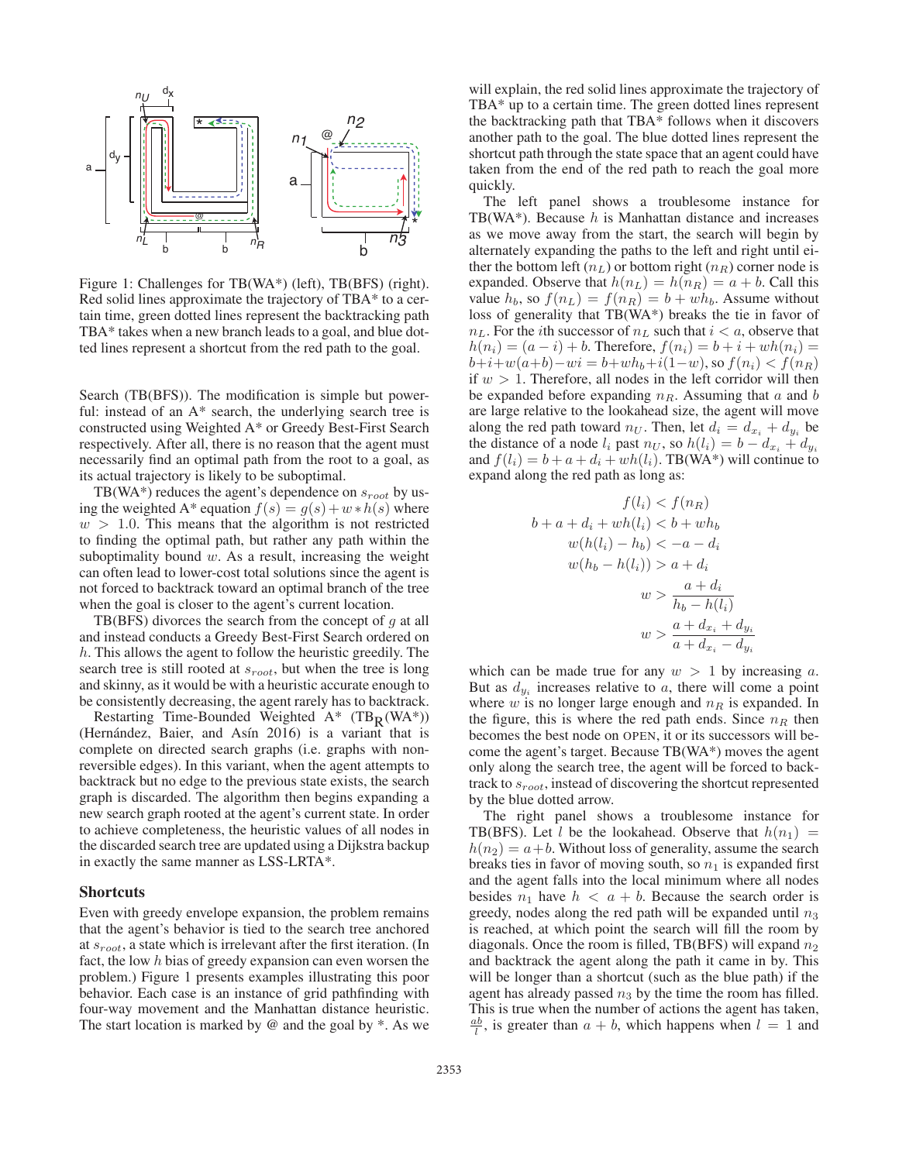

Figure 1: Challenges for TB(WA\*) (left), TB(BFS) (right). Red solid lines approximate the trajectory of TBA\* to a certain time, green dotted lines represent the backtracking path TBA\* takes when a new branch leads to a goal, and blue dotted lines represent a shortcut from the red path to the goal.

Search (TB(BFS)). The modification is simple but powerful: instead of an A\* search, the underlying search tree is constructed using Weighted A\* or Greedy Best-First Search respectively. After all, there is no reason that the agent must necessarily find an optimal path from the root to a goal, as its actual trajectory is likely to be suboptimal.

TB(WA\*) reduces the agent's dependence on  $s_{root}$  by using the weighted A\* equation  $f(s) = g(s) + w * h(s)$  where  $w > 1.0$ . This means that the algorithm is not restricted to finding the optimal path, but rather any path within the suboptimality bound  $w$ . As a result, increasing the weight can often lead to lower-cost total solutions since the agent is not forced to backtrack toward an optimal branch of the tree when the goal is closer to the agent's current location.

TB(BFS) divorces the search from the concept of  $g$  at all and instead conducts a Greedy Best-First Search ordered on h. This allows the agent to follow the heuristic greedily. The search tree is still rooted at  $s_{root}$ , but when the tree is long and skinny, as it would be with a heuristic accurate enough to be consistently decreasing, the agent rarely has to backtrack.

Restarting Time-Bounded Weighted  $A^*$  (TB<sub>R</sub>(WA\*)) (Hernández, Baier, and Asín 2016) is a variant that is complete on directed search graphs (i.e. graphs with nonreversible edges). In this variant, when the agent attempts to backtrack but no edge to the previous state exists, the search graph is discarded. The algorithm then begins expanding a new search graph rooted at the agent's current state. In order to achieve completeness, the heuristic values of all nodes in the discarded search tree are updated using a Dijkstra backup in exactly the same manner as LSS-LRTA\*.

#### **Shortcuts**

Even with greedy envelope expansion, the problem remains that the agent's behavior is tied to the search tree anchored at  $s_{root}$ , a state which is irrelevant after the first iteration. (In fact, the low h bias of greedy expansion can even worsen the problem.) Figure 1 presents examples illustrating this poor behavior. Each case is an instance of grid pathfinding with four-way movement and the Manhattan distance heuristic. The start location is marked by  $\omega$  and the goal by  $*$ . As we

will explain, the red solid lines approximate the trajectory of TBA\* up to a certain time. The green dotted lines represent the backtracking path that TBA\* follows when it discovers another path to the goal. The blue dotted lines represent the shortcut path through the state space that an agent could have taken from the end of the red path to reach the goal more quickly.

The left panel shows a troublesome instance for TB(WA\*). Because  $h$  is Manhattan distance and increases as we move away from the start, the search will begin by alternately expanding the paths to the left and right until either the bottom left  $(n_L)$  or bottom right  $(n_R)$  corner node is expanded. Observe that  $h(n_L) = h(n_R) = a + b$ . Call this value  $h_b$ , so  $f(n_L) = f(n_R) = b + wh_b$ . Assume without loss of generality that TB(WA\*) breaks the tie in favor of  $n<sub>L</sub>$ . For the *i*th successor of  $n<sub>L</sub>$  such that  $i < a$ , observe that  $h(n_i)=(a - i) + b$ . Therefore,  $f(n_i) = b + i + wh(n_i) =$  $b+i+w(a+b)-wi = b+wh_b+i(1-w)$ , so  $f(n_i) < f(n_R)$ if  $w > 1$ . Therefore, all nodes in the left corridor will then be expanded before expanding  $n_R$ . Assuming that a and b are large relative to the lookahead size, the agent will move along the red path toward  $n_U$ . Then, let  $d_i = d_{x_i} + d_{y_i}$  be the distance of a node  $l_i$  past  $n_U$ , so  $h(l_i) = b - d_{x_i} + d_{y_i}$ and  $f(l_i) = b + a + d_i + wh(l_i)$ . TB(WA\*) will continue to expand along the red path as long as:

$$
f(l_i) < f(n_R)
$$
\n
$$
b + a + d_i + wh(l_i) < b + wh_b
$$
\n
$$
w(h(l_i) - h_b) < -a - d_i
$$
\n
$$
w(h_b - h(l_i)) > a + d_i
$$
\n
$$
w > \frac{a + d_i}{h_b - h(l_i)}
$$
\n
$$
w > \frac{a + d_{x_i} + d_{y_i}}{a + d_{x_i} - d_{y_i}}
$$

which can be made true for any  $w > 1$  by increasing a. But as  $d_{y_i}$  increases relative to a, there will come a point where w is no longer large enough and  $n<sub>R</sub>$  is expanded. In the figure, this is where the red path ends. Since  $n_R$  then becomes the best node on OPEN, it or its successors will become the agent's target. Because TB(WA\*) moves the agent only along the search tree, the agent will be forced to backtrack to  $s_{root}$ , instead of discovering the shortcut represented by the blue dotted arrow.

The right panel shows a troublesome instance for TB(BFS). Let l be the lookahead. Observe that  $h(n_1)$  =  $h(n_2) = a + b$ . Without loss of generality, assume the search breaks ties in favor of moving south, so  $n_1$  is expanded first and the agent falls into the local minimum where all nodes besides  $n_1$  have  $h < a + b$ . Because the search order is greedy, nodes along the red path will be expanded until  $n_3$ is reached, at which point the search will fill the room by diagonals. Once the room is filled, TB(BFS) will expand  $n_2$ and backtrack the agent along the path it came in by. This will be longer than a shortcut (such as the blue path) if the agent has already passed  $n_3$  by the time the room has filled. This is true when the number of actions the agent has taken,  $\frac{ab}{l}$ , is greater than  $a + b$ , which happens when  $l = 1$  and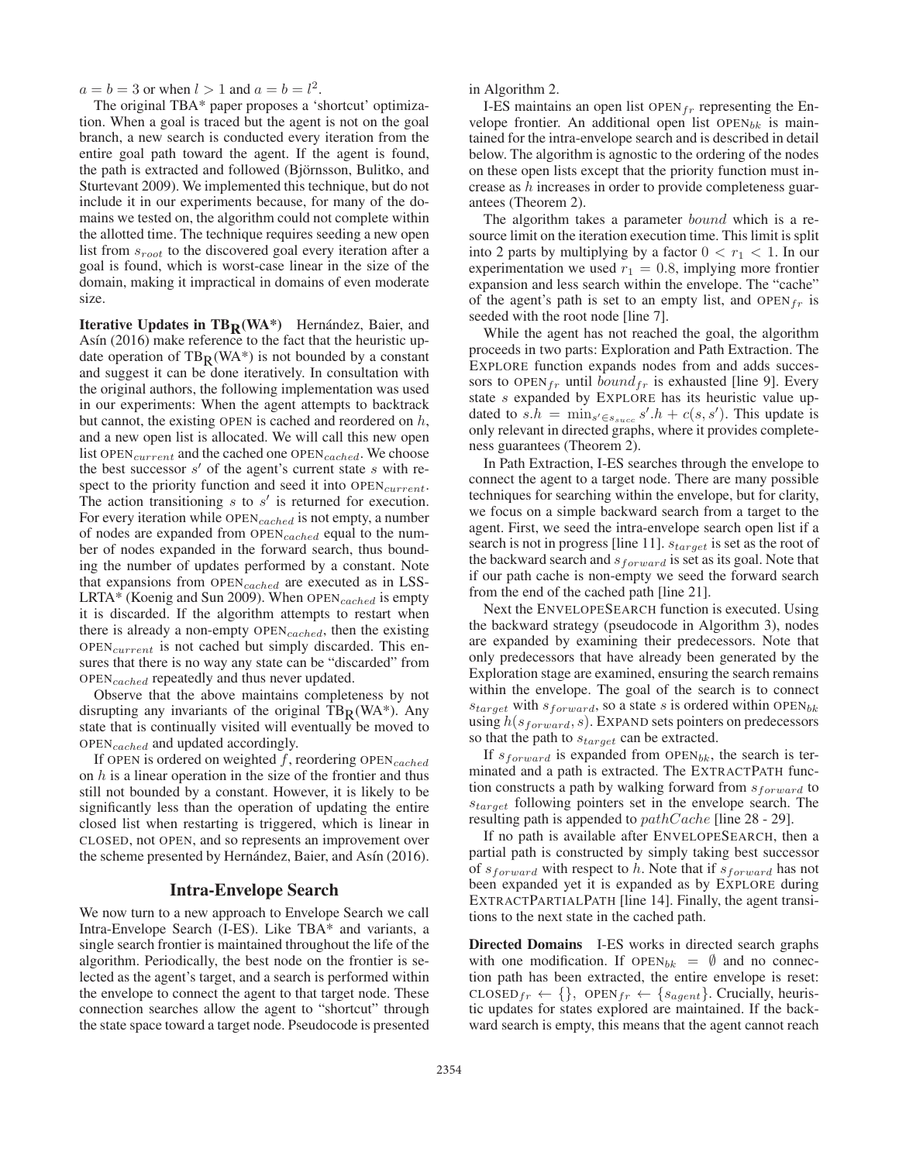$a = b = 3$  or when  $l > 1$  and  $a = b = l<sup>2</sup>$ .

The original TBA\* paper proposes a 'shortcut' optimization. When a goal is traced but the agent is not on the goal branch, a new search is conducted every iteration from the entire goal path toward the agent. If the agent is found, the path is extracted and followed (Björnsson, Bulitko, and Sturtevant 2009). We implemented this technique, but do not include it in our experiments because, for many of the domains we tested on, the algorithm could not complete within the allotted time. The technique requires seeding a new open list from  $s_{root}$  to the discovered goal every iteration after a goal is found, which is worst-case linear in the size of the domain, making it impractical in domains of even moderate size.

**Iterative Updates in TBR(WA\*)** Hernández, Baier, and Asín  $(2016)$  make reference to the fact that the heuristic update operation of  $TB_R(WA^*)$  is not bounded by a constant and suggest it can be done iteratively. In consultation with the original authors, the following implementation was used in our experiments: When the agent attempts to backtrack but cannot, the existing OPEN is cached and reordered on  $h$ , and a new open list is allocated. We will call this new open list OPEN<sub>current</sub> and the cached one OPEN<sub>cached</sub>. We choose the best successor  $s'$  of the agent's current state  $s$  with respect to the priority function and seed it into  $\text{OPEN}_{current}$ . The action transitioning  $s$  to  $s'$  is returned for execution. For every iteration while  $OPEN_{cache}$  is not empty, a number of nodes are expanded from  $OPEN_{cached}$  equal to the number of nodes expanded in the forward search, thus bounding the number of updates performed by a constant. Note that expansions from  $OPEN_{cache}$  are executed as in LSS-LRTA\* (Koenig and Sun 2009). When  $OPEN_{cached}$  is empty it is discarded. If the algorithm attempts to restart when there is already a non-empty  $OPEN_{cached}$ , then the existing  $OPEN_{current}$  is not cached but simply discarded. This ensures that there is no way any state can be "discarded" from  $OPEN_{cached}$  repeatedly and thus never updated.

Observe that the above maintains completeness by not disrupting any invariants of the original TBR(WA\*). Any state that is continually visited will eventually be moved to  $OPEN_{cached}$  and updated accordingly.

If OPEN is ordered on weighted  $f$ , reordering OPEN<sub>cached</sub> on  $h$  is a linear operation in the size of the frontier and thus still not bounded by a constant. However, it is likely to be significantly less than the operation of updating the entire closed list when restarting is triggered, which is linear in CLOSED, not OPEN, and so represents an improvement over the scheme presented by Hernández, Baier, and Asín (2016).

#### Intra-Envelope Search

We now turn to a new approach to Envelope Search we call Intra-Envelope Search (I-ES). Like TBA\* and variants, a single search frontier is maintained throughout the life of the algorithm. Periodically, the best node on the frontier is selected as the agent's target, and a search is performed within the envelope to connect the agent to that target node. These connection searches allow the agent to "shortcut" through the state space toward a target node. Pseudocode is presented in Algorithm 2.

I-ES maintains an open list OPEN<sub>fr</sub> representing the Envelope frontier. An additional open list  $OPEN_{bk}$  is maintained for the intra-envelope search and is described in detail below. The algorithm is agnostic to the ordering of the nodes on these open lists except that the priority function must increase as h increases in order to provide completeness guarantees (Theorem 2).

The algorithm takes a parameter *bound* which is a resource limit on the iteration execution time. This limit is split into 2 parts by multiplying by a factor  $0 < r_1 < 1$ . In our experimentation we used  $r_1 = 0.8$ , implying more frontier expansion and less search within the envelope. The "cache" of the agent's path is set to an empty list, and OPEN<sub>fr</sub> is seeded with the root node [line 7].

While the agent has not reached the goal, the algorithm proceeds in two parts: Exploration and Path Extraction. The EXPLORE function expands nodes from and adds successors to OPEN<sub>fr</sub> until bound<sub>fr</sub> is exhausted [line 9]. Every state s expanded by EXPLORE has its heuristic value updated to  $s.h = \min_{s' \in s_{succ}} s'.h + c(s, s')$ . This update is only relevant in directed graphs, where it provides completeness guarantees (Theorem 2).

In Path Extraction, I-ES searches through the envelope to connect the agent to a target node. There are many possible techniques for searching within the envelope, but for clarity, we focus on a simple backward search from a target to the agent. First, we seed the intra-envelope search open list if a search is not in progress [line 11].  $s_{target}$  is set as the root of the backward search and  $s_{forward}$  is set as its goal. Note that if our path cache is non-empty we seed the forward search from the end of the cached path [line 21].

Next the ENVELOPESEARCH function is executed. Using the backward strategy (pseudocode in Algorithm 3), nodes are expanded by examining their predecessors. Note that only predecessors that have already been generated by the Exploration stage are examined, ensuring the search remains within the envelope. The goal of the search is to connect  $s_{target}$  with  $s_{forward}$ , so a state s is ordered within OPEN<sub>bk</sub> using  $h(s_{forward}, s)$ . EXPAND sets pointers on predecessors so that the path to  $s_{target}$  can be extracted.

If  $s_{forward}$  is expanded from OPEN<sub>bk</sub>, the search is terminated and a path is extracted. The EXTRACTPATH function constructs a path by walking forward from  $s_{forward}$  to  $s_{target}$  following pointers set in the envelope search. The resulting path is appended to  $pathCache$  [line 28 - 29].

If no path is available after ENVELOPESEARCH, then a partial path is constructed by simply taking best successor of  $s_{forward}$  with respect to h. Note that if  $s_{forward}$  has not been expanded yet it is expanded as by EXPLORE during EXTRACTPARTIALPATH [line 14]. Finally, the agent transitions to the next state in the cached path.

Directed Domains I-ES works in directed search graphs with one modification. If  $OPEN_{bk} = \emptyset$  and no connection path has been extracted, the entire envelope is reset: CLOSED<sub>fr</sub>  $\leftarrow \{\}$ , OPEN<sub>fr</sub>  $\leftarrow \{s_{agent}\}$ . Crucially, heuristic updates for states explored are maintained. If the backward search is empty, this means that the agent cannot reach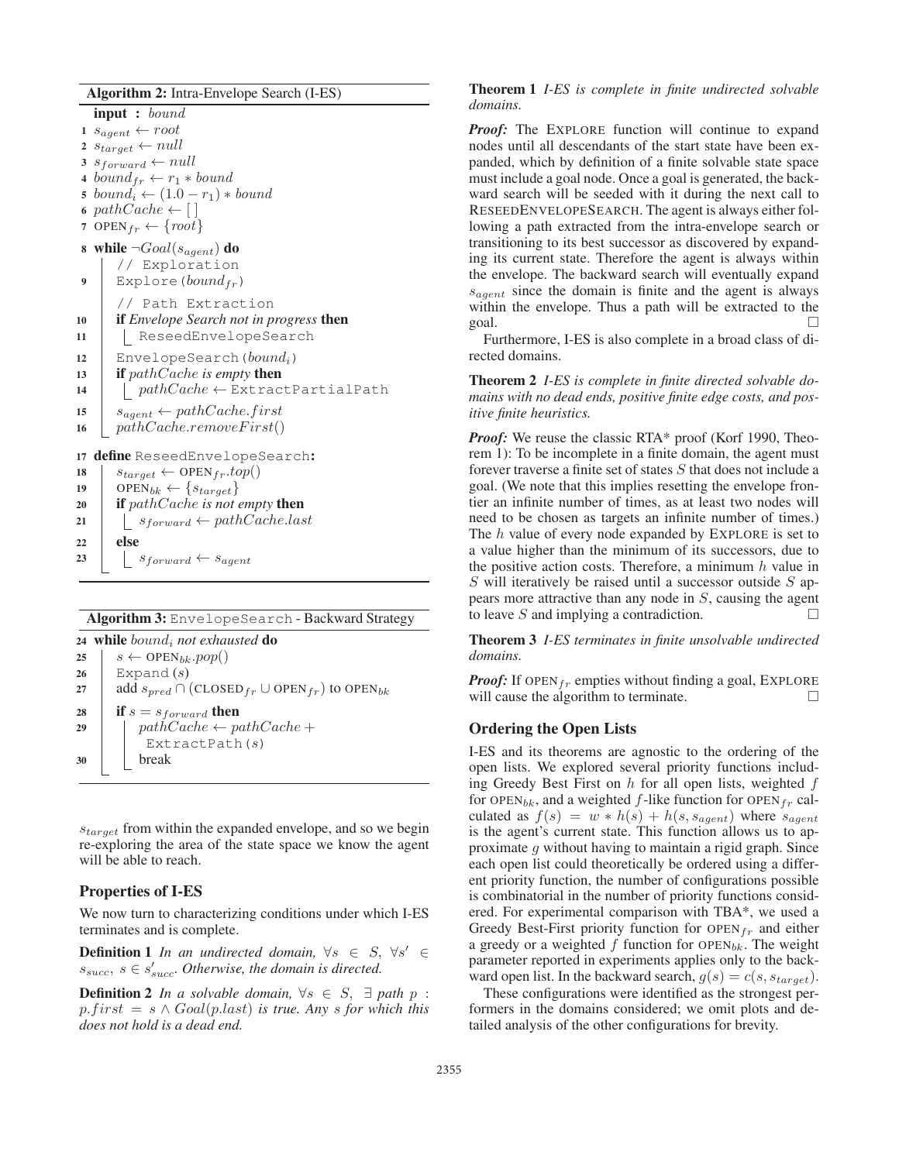#### Algorithm 2: Intra-Envelope Search (I-ES)

input : *bound* 1  $s_{agent} \leftarrow root$ 2  $s_{target} \leftarrow null$ 3  $s_{forward} \leftarrow null$ 4 bound<sub>fr</sub>  $\leftarrow r_1 * bound$ 5 bound<sub>i</sub>  $\leftarrow (1.0 - r_1) * bound$ 6 pathCache  $\leftarrow$  [] 7 OPEN<sub>fr</sub>  $\leftarrow$  {*root*} 8 while  $\neg Goal(s_{agent})$  do // Exploration 9 Explore  $\left( bound_{fr}\right)$ // Path Extraction <sup>10</sup> if *Envelope Search not in progress* then <sup>11</sup> ReseedEnvelopeSearch 12 | EnvelopeSearch( $bound_i$ ) <sup>13</sup> if pathCache *is empty* then 14 |  $\vert$  pathCache ← ExtractPartialPath 15  $s_{agent} \leftarrow pathCache.first$  $16$  | pathCache.removeFirst() <sup>17</sup> define ReseedEnvelopeSearch: 18  $s_{target} \leftarrow \text{OPEN}_{fr}.top()$ 19 OPEN<sub>bk</sub>  $\left\{ \mathcal{S}_{target} \right\}$ <sup>20</sup> if pathCache *is not empty* then 21 |  $s_{forward} \leftarrow pathCache-last$ <sup>22</sup> else 23  $S<sub>forward</sub> \leftarrow s<sub>agent</sub>$ 

#### Algorithm 3: EnvelopeSearch - Backward Strategy

<sup>24</sup> while bound<sup>i</sup> *not exhausted* do 25  $s \leftarrow$  OPEN<sub>bk</sub>.pop() 26 Expand  $(s)$ 27 add  $s_{pred} \cap (CLOSED_{fr} \cup OPER_{fr})$  to OPEN<sub>bk</sub> 28 if  $s = s_{forward}$  then 29 | pathCache ← pathCache + ExtractPath $(s)$ <sup>30</sup> break

 $s_{target}$  from within the expanded envelope, and so we begin re-exploring the area of the state space we know the agent will be able to reach.

## Properties of I-ES

We now turn to characterizing conditions under which I-ES terminates and is complete.

**Definition 1** *In an undirected domain*,  $\forall s \in S$ ,  $\forall s' \in$  $s_{succ}$ ,  $s \in s'_{succ}$ . Otherwise, the domain is directed.

**Definition 2** *In a solvable domain,*  $\forall s \in S$ ,  $\exists$  *path*  $p$  :  $p. first = s \wedge Goal(p. last)$  *is true. Any s for which this does not hold is a dead end.*

### Theorem 1 *I-ES is complete in finite undirected solvable domains.*

*Proof:* The EXPLORE function will continue to expand nodes until all descendants of the start state have been expanded, which by definition of a finite solvable state space must include a goal node. Once a goal is generated, the backward search will be seeded with it during the next call to RESEEDENVELOPESEARCH. The agent is always either following a path extracted from the intra-envelope search or transitioning to its best successor as discovered by expanding its current state. Therefore the agent is always within the envelope. The backward search will eventually expand  $s_{agent}$  since the domain is finite and the agent is always within the envelope. Thus a path will be extracted to the goal.

Furthermore, I-ES is also complete in a broad class of directed domains.

Theorem 2 *I-ES is complete in finite directed solvable domains with no dead ends, positive finite edge costs, and positive finite heuristics.*

*Proof:* We reuse the classic RTA\* proof (Korf 1990, Theorem 1): To be incomplete in a finite domain, the agent must forever traverse a finite set of states S that does not include a goal. (We note that this implies resetting the envelope frontier an infinite number of times, as at least two nodes will need to be chosen as targets an infinite number of times.) The h value of every node expanded by EXPLORE is set to a value higher than the minimum of its successors, due to the positive action costs. Therefore, a minimum  $h$  value in  $S$  will iteratively be raised until a successor outside  $S$  appears more attractive than any node in S, causing the agent to leave  $S$  and implying a contradiction.  $\Box$ 

Theorem 3 *I-ES terminates in finite unsolvable undirected domains.*

*Proof:* If OPEN<sub>fr</sub> empties without finding a goal, EXPLORE will cause the algorithm to terminate.  $\Box$ 

## Ordering the Open Lists

I-ES and its theorems are agnostic to the ordering of the open lists. We explored several priority functions including Greedy Best First on  $h$  for all open lists, weighted  $f$ for OPEN<sub>bk</sub>, and a weighted f-like function for OPEN<sub>fr</sub> calculated as  $f(s) = w * h(s) + h(s, s_{agent})$  where  $s_{agent}$ is the agent's current state. This function allows us to approximate g without having to maintain a rigid graph. Since each open list could theoretically be ordered using a different priority function, the number of configurations possible is combinatorial in the number of priority functions considered. For experimental comparison with TBA\*, we used a Greedy Best-First priority function for OPEN<sub>fr</sub> and either a greedy or a weighted f function for OPEN<sub>bk</sub>. The weight parameter reported in experiments applies only to the backward open list. In the backward search,  $g(s) = c(s, s_{target})$ .

These configurations were identified as the strongest performers in the domains considered; we omit plots and detailed analysis of the other configurations for brevity.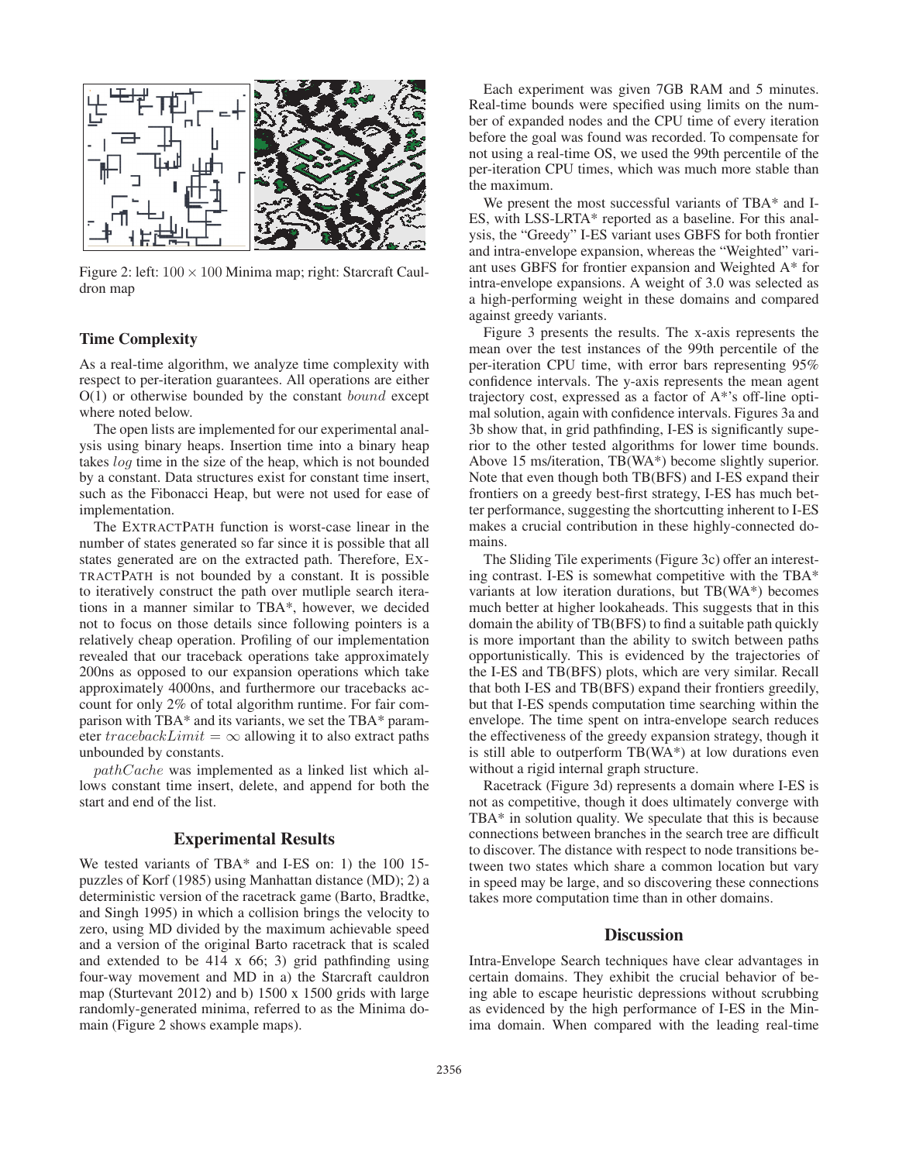

Figure 2: left: 100×100 Minima map; right: Starcraft Cauldron map

### Time Complexity

As a real-time algorithm, we analyze time complexity with respect to per-iteration guarantees. All operations are either  $O(1)$  or otherwise bounded by the constant *bound* except where noted below.

The open lists are implemented for our experimental analysis using binary heaps. Insertion time into a binary heap takes log time in the size of the heap, which is not bounded by a constant. Data structures exist for constant time insert, such as the Fibonacci Heap, but were not used for ease of implementation.

The EXTRACTPATH function is worst-case linear in the number of states generated so far since it is possible that all states generated are on the extracted path. Therefore, EX-TRACTPATH is not bounded by a constant. It is possible to iteratively construct the path over mutliple search iterations in a manner similar to TBA\*, however, we decided not to focus on those details since following pointers is a relatively cheap operation. Profiling of our implementation revealed that our traceback operations take approximately 200ns as opposed to our expansion operations which take approximately 4000ns, and furthermore our tracebacks account for only 2% of total algorithm runtime. For fair comparison with TBA\* and its variants, we set the TBA\* parameter tracebackLimit =  $\infty$  allowing it to also extract paths unbounded by constants.

 $pathCache$  was implemented as a linked list which allows constant time insert, delete, and append for both the start and end of the list.

## Experimental Results

We tested variants of TBA\* and I-ES on: 1) the 100 15 puzzles of Korf (1985) using Manhattan distance (MD); 2) a deterministic version of the racetrack game (Barto, Bradtke, and Singh 1995) in which a collision brings the velocity to zero, using MD divided by the maximum achievable speed and a version of the original Barto racetrack that is scaled and extended to be 414 x 66; 3) grid pathfinding using four-way movement and MD in a) the Starcraft cauldron map (Sturtevant 2012) and b) 1500 x 1500 grids with large randomly-generated minima, referred to as the Minima domain (Figure 2 shows example maps).

Each experiment was given 7GB RAM and 5 minutes. Real-time bounds were specified using limits on the number of expanded nodes and the CPU time of every iteration before the goal was found was recorded. To compensate for not using a real-time OS, we used the 99th percentile of the per-iteration CPU times, which was much more stable than the maximum.

We present the most successful variants of TBA\* and I-ES, with LSS-LRTA\* reported as a baseline. For this analysis, the "Greedy" I-ES variant uses GBFS for both frontier and intra-envelope expansion, whereas the "Weighted" variant uses GBFS for frontier expansion and Weighted A\* for intra-envelope expansions. A weight of 3.0 was selected as a high-performing weight in these domains and compared against greedy variants.

Figure 3 presents the results. The x-axis represents the mean over the test instances of the 99th percentile of the per-iteration CPU time, with error bars representing 95% confidence intervals. The y-axis represents the mean agent trajectory cost, expressed as a factor of A\*'s off-line optimal solution, again with confidence intervals. Figures 3a and 3b show that, in grid pathfinding, I-ES is significantly superior to the other tested algorithms for lower time bounds. Above 15 ms/iteration, TB(WA\*) become slightly superior. Note that even though both TB(BFS) and I-ES expand their frontiers on a greedy best-first strategy, I-ES has much better performance, suggesting the shortcutting inherent to I-ES makes a crucial contribution in these highly-connected domains.

The Sliding Tile experiments (Figure 3c) offer an interesting contrast. I-ES is somewhat competitive with the TBA\* variants at low iteration durations, but TB(WA\*) becomes much better at higher lookaheads. This suggests that in this domain the ability of TB(BFS) to find a suitable path quickly is more important than the ability to switch between paths opportunistically. This is evidenced by the trajectories of the I-ES and TB(BFS) plots, which are very similar. Recall that both I-ES and TB(BFS) expand their frontiers greedily, but that I-ES spends computation time searching within the envelope. The time spent on intra-envelope search reduces the effectiveness of the greedy expansion strategy, though it is still able to outperform TB(WA\*) at low durations even without a rigid internal graph structure.

Racetrack (Figure 3d) represents a domain where I-ES is not as competitive, though it does ultimately converge with TBA\* in solution quality. We speculate that this is because connections between branches in the search tree are difficult to discover. The distance with respect to node transitions between two states which share a common location but vary in speed may be large, and so discovering these connections takes more computation time than in other domains.

## **Discussion**

Intra-Envelope Search techniques have clear advantages in certain domains. They exhibit the crucial behavior of being able to escape heuristic depressions without scrubbing as evidenced by the high performance of I-ES in the Minima domain. When compared with the leading real-time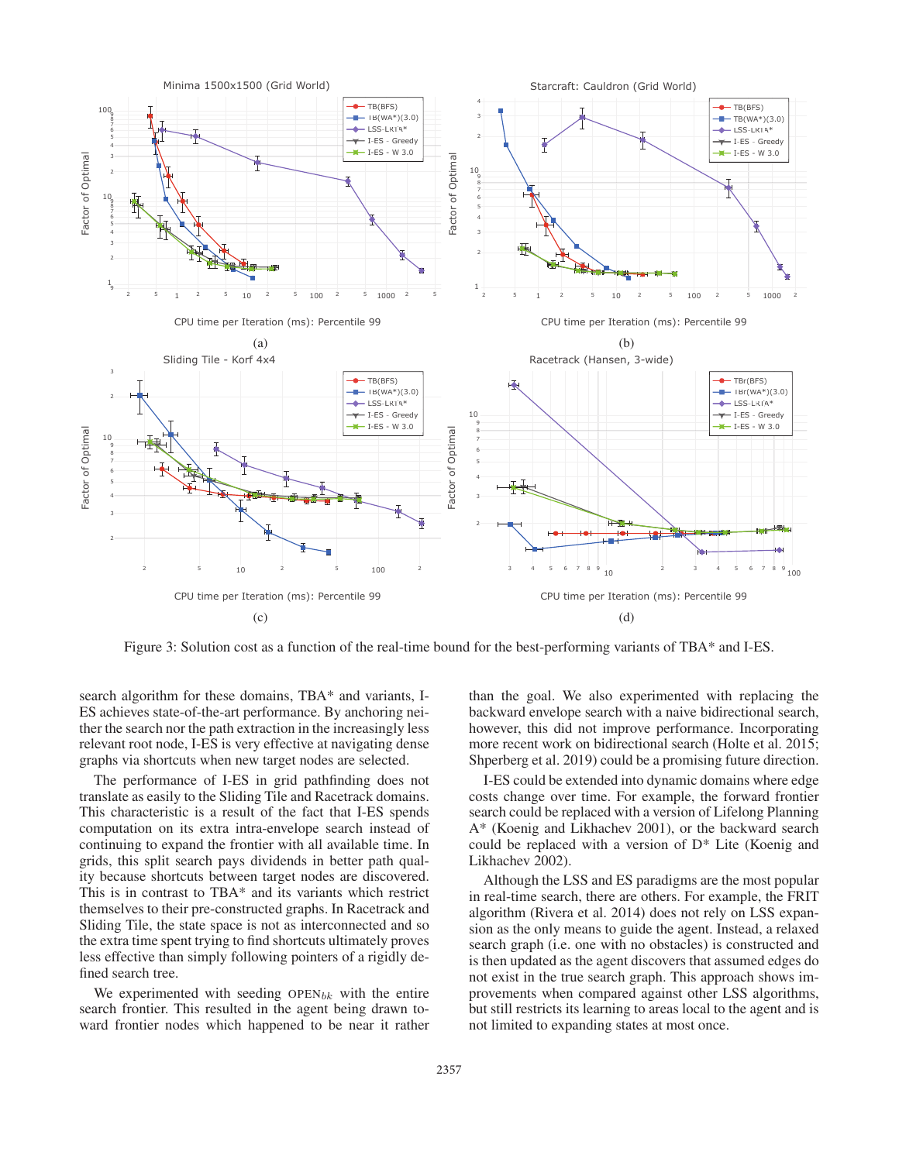

Figure 3: Solution cost as a function of the real-time bound for the best-performing variants of TBA\* and I-ES.

search algorithm for these domains, TBA\* and variants, I-ES achieves state-of-the-art performance. By anchoring neither the search nor the path extraction in the increasingly less relevant root node, I-ES is very effective at navigating dense graphs via shortcuts when new target nodes are selected.

The performance of I-ES in grid pathfinding does not translate as easily to the Sliding Tile and Racetrack domains. This characteristic is a result of the fact that I-ES spends computation on its extra intra-envelope search instead of continuing to expand the frontier with all available time. In grids, this split search pays dividends in better path quality because shortcuts between target nodes are discovered. This is in contrast to TBA\* and its variants which restrict themselves to their pre-constructed graphs. In Racetrack and Sliding Tile, the state space is not as interconnected and so the extra time spent trying to find shortcuts ultimately proves less effective than simply following pointers of a rigidly defined search tree.

We experimented with seeding  $OPEN_{bk}$  with the entire search frontier. This resulted in the agent being drawn toward frontier nodes which happened to be near it rather

than the goal. We also experimented with replacing the backward envelope search with a naive bidirectional search, however, this did not improve performance. Incorporating more recent work on bidirectional search (Holte et al. 2015; Shperberg et al. 2019) could be a promising future direction.

I-ES could be extended into dynamic domains where edge costs change over time. For example, the forward frontier search could be replaced with a version of Lifelong Planning A\* (Koenig and Likhachev 2001), or the backward search could be replaced with a version of D\* Lite (Koenig and Likhachev 2002).

Although the LSS and ES paradigms are the most popular in real-time search, there are others. For example, the FRIT algorithm (Rivera et al. 2014) does not rely on LSS expansion as the only means to guide the agent. Instead, a relaxed search graph (i.e. one with no obstacles) is constructed and is then updated as the agent discovers that assumed edges do not exist in the true search graph. This approach shows improvements when compared against other LSS algorithms, but still restricts its learning to areas local to the agent and is not limited to expanding states at most once.